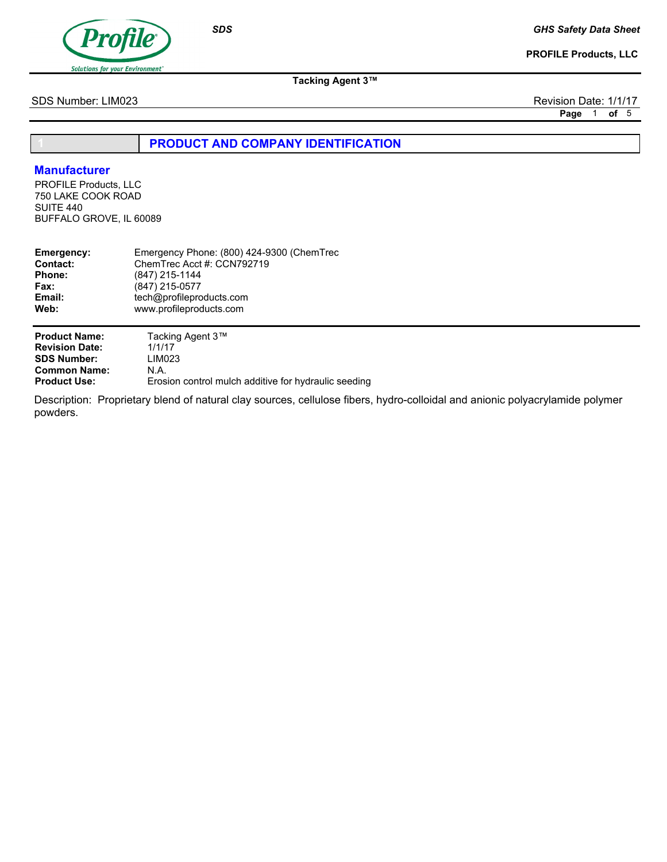

PROFILE Products, LLC

Tacking Agent 3™

SDS Number: LIM023 Revision Date: 1/1/17

Page 1 of 5

PRODUCT AND COMPANY IDENTIFICATION

## Manufacturer

PROFILE Products, LLC 750 LAKE COOK ROAD SUITE 440 BUFFALO GROVE, IL 60089

| Emergency:            | Emergency Phone: (800) 424-9300 (ChemTrec |
|-----------------------|-------------------------------------------|
| Contact:              | ChemTrec Acct #: CCN792719                |
| <b>Phone:</b>         | (847) 215-1144                            |
| <b>Fax:</b>           | (847) 215-0577                            |
| Email:                | tech@profileproducts.com                  |
| Web:                  | www.profileproducts.com                   |
| <b>Product Name:</b>  | Tacking Agent 3™                          |
| <b>Revision Date:</b> | 1/1/17                                    |
| <b>SDS Number:</b>    | LIM023                                    |
| <b>Common Name:</b>   | N.A.                                      |

Erosion control mulch additive for hydraulic seeding Product Use:

Description: Proprietary blend of natural clay sources, cellulose fibers, hydro-colloidal and anionic polyacrylamide polymer powders.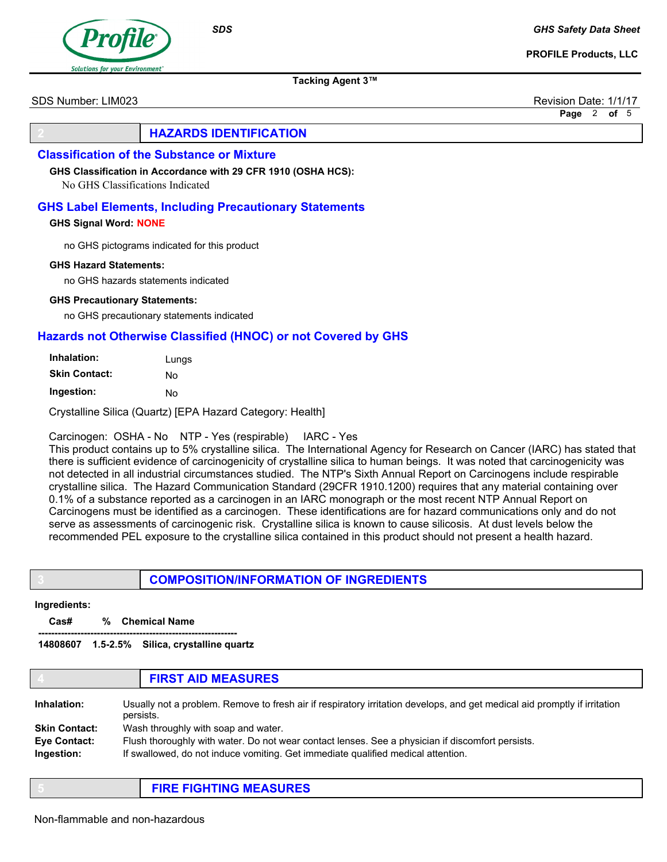GHS Safety Data Sheet

PROFILE Products, LLC



Tacking Agent 3™

SDS Number: LIM023 Revision Date: 1/1/17

Page 2 of 5

# **HAZARDS IDENTIFICATION**

### Classification of the Substance or Mixture

GHS Classification in Accordance with 29 CFR 1910 (OSHA HCS):

No GHS Classifications Indicated

### GHS Label Elements, Including Precautionary Statements

#### GHS Signal Word: NONE

no GHS pictograms indicated for this product

#### GHS Hazard Statements:

no GHS hazards statements indicated

#### GHS Precautionary Statements:

no GHS precautionary statements indicated

## Hazards not Otherwise Classified (HNOC) or not Covered by GHS

| Inhalation:   | Lungs |  |
|---------------|-------|--|
| Skin Contact: | N٥    |  |
| Ingestion:    | N٥    |  |

Crystalline Silica (Quartz) [EPA Hazard Category: Health]

## Carcinogen: OSHA - No NTP - Yes (respirable) IARC - Yes

This product contains up to 5% crystalline silica. The International Agency for Research on Cancer (IARC) has stated that there is sufficient evidence of carcinogenicity of crystalline silica to human beings. It was noted that carcinogenicity was not detected in all industrial circumstances studied. The NTP's Sixth Annual Report on Carcinogens include respirable crystalline silica. The Hazard Communication Standard (29CFR 1910.1200) requires that any material containing over 0.1% of a substance reported as a carcinogen in an IARC monograph or the most recent NTP Annual Report on Carcinogens must be identified as a carcinogen. These identifications are for hazard communications only and do not serve as assessments of carcinogenic risk. Crystalline silica is known to cause silicosis. At dust levels below the recommended PEL exposure to the crystalline silica contained in this product should not present a health hazard.

## 3 COMPOSITION/INFORMATION OF INGREDIENTS

#### Ingredients:

Cas# % Chemical Name

------------------------------------------------------------- 14808607 1.5-2.5% Silica, crystalline quartz

#### **FIRST AID MEASURES**

| Inhalation:                       | Usually not a problem. Remove to fresh air if respiratory irritation develops, and get medical aid promptly if irritation<br>persists.                                               |
|-----------------------------------|--------------------------------------------------------------------------------------------------------------------------------------------------------------------------------------|
| <b>Skin Contact:</b>              | Wash throughly with soap and water.                                                                                                                                                  |
| <b>Eve Contact:</b><br>Ingestion: | Flush thoroughly with water. Do not wear contact lenses. See a physician if discomfort persists.<br>If swallowed, do not induce vomiting. Get immediate qualified medical attention. |

## 5 FIRE FIGHTING MEASURES

**SDS**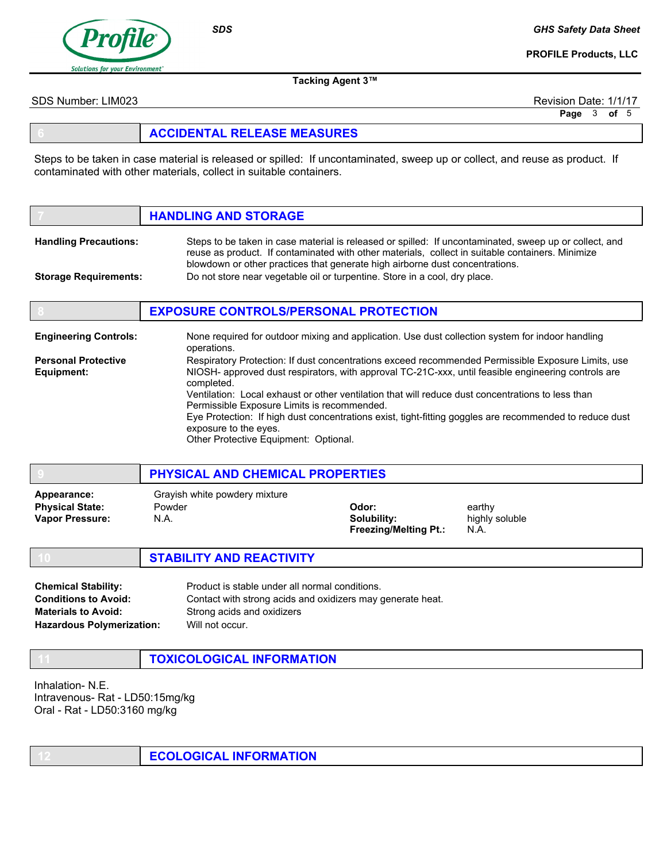

SDS

#### GHS Safety Data Sheet

PROFILE Products, LLC

Tacking Agent 3™

SDS Number: LIM023 Revision Date: 1/1/17

Page 3 of 5

### 6 ACCIDENTAL RELEASE MEASURES

Steps to be taken in case material is released or spilled: If uncontaminated, sweep up or collect, and reuse as product. If contaminated with other materials, collect in suitable containers.

## **HANDLING AND STORAGE**

| <b>Handling Precautions:</b> | Steps to be taken in case material is released or spilled: If uncontaminated, sweep up or collect, and |
|------------------------------|--------------------------------------------------------------------------------------------------------|
|                              | reuse as product. If contaminated with other materials, collect in suitable containers. Minimize       |
|                              | blowdown or other practices that generate high airborne dust concentrations.                           |
| <b>Storage Requirements:</b> | Do not store near vegetable oil or turpentine. Store in a cool, dry place.                             |

### **EXPOSURE CONTROLS/PERSONAL PROTECTION**

| <b>Engineering Controls:</b> | None required for outdoor mixing and application. Use dust collection system for indoor handling<br>operations.                                  |
|------------------------------|--------------------------------------------------------------------------------------------------------------------------------------------------|
| <b>Personal Protective</b>   | Respiratory Protection: If dust concentrations exceed recommended Permissible Exposure Limits, use                                               |
| Equipment:                   | NIOSH- approved dust respirators, with approval TC-21C-xxx, until feasible engineering controls are<br>completed.                                |
|                              | Ventilation: Local exhaust or other ventilation that will reduce dust concentrations to less than<br>Permissible Exposure Limits is recommended. |
|                              | Eye Protection: If high dust concentrations exist, tight-fitting goggles are recommended to reduce dust<br>exposure to the eyes.                 |
|                              | Other Protective Equipment: Optional.                                                                                                            |

#### 9 PHYSICAL AND CHEMICAL PROPERTIES

| Appearance:            | Grayish white powdery mixture |                              |                |
|------------------------|-------------------------------|------------------------------|----------------|
| <b>Physical State:</b> | Powder                        | Odor:                        | earthy         |
| <b>Vapor Pressure:</b> | N.A.                          | Solubility:                  | highly soluble |
|                        |                               | <b>Freezing/Melting Pt.:</b> | N.A.           |

- **STABILITY AND REACTIVITY**
- Product is stable under all normal conditions. Contact with strong acids and oxidizers may generate heat. Strong acids and oxidizers Will not occur. Chemical Stability: Conditions to Avoid: Materials to Avoid: Hazardous Polymerization:
	- **TOXICOLOGICAL INFORMATION**

Inhalation- N.E. Intravenous- Rat - LD50:15mg/kg Oral - Rat - LD50:3160 mg/kg

**ECOLOGICAL INFORMATION**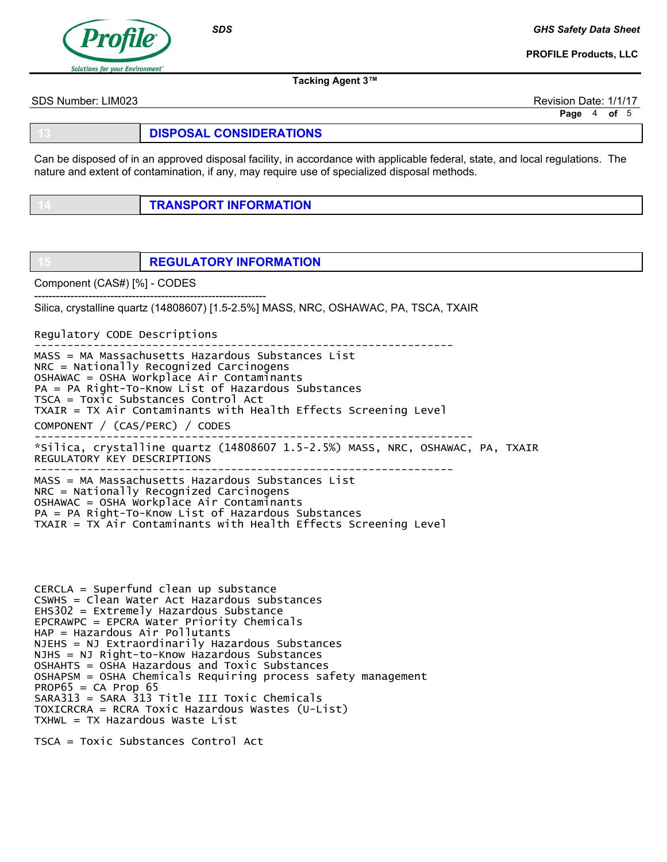

**SDS** 

GHS Safety Data Sheet

PROFILE Products, LLC

Tacking Agent 3™

SDS Number: LIM023 Revision Date: 1/1/17

Page 4 of 5

DISPOSAL CONSIDERATIONS

Can be disposed of in an approved disposal facility, in accordance with applicable federal, state, and local regulations. The nature and extent of contamination, if any, may require use of specialized disposal methods.

**TRANSPORT INFORMATION** 

**REGULATORY INFORMATION** 

Component (CAS#) [%] - CODES

---------------------------------------------------------------- Silica, crystalline quartz (14808607) [1.5-2.5%] MASS, NRC, OSHAWAC, PA, TSCA, TXAIR

Regulatory CODE Descriptions

---------------------------------------------------------------- MASS = MA Massachusetts Hazardous Substances List NRC = Nationally Recognized Carcinogens OSHAWAC = OSHA Workplace Air Contaminants PA = PA Right-To-Know List of Hazardous Substances TSCA = Toxic Substances Control Act TXAIR = TX Air Contaminants with Health Effects Screening Level COMPONENT / (CAS/PERC) / CODES ------------------------------------------------------------------- \*Silica, crystalline quartz (14808607 1.5-2.5%) MASS, NRC, OSHAWAC, PA, TXAIR REGULATORY KEY DESCRIPTIONS ---------------------------------------------------------------- MASS = MA Massachusetts Hazardous Substances List NRC = Nationally Recognized Carcinogens OSHAWAC = OSHA Workplace Air Contaminants PA = PA Right-To-Know List of Hazardous Substances TXAIR = TX Air Contaminants with Health Effects Screening Level

CERCLA = Superfund clean up substance CSWHS = Clean Water Act Hazardous substances EHS302 = Extremely Hazardous Substance EPCRAWPC = EPCRA Water Priority Chemicals HAP = Hazardous Air Pollutants NJEHS = NJ Extraordinarily Hazardous Substances NJHS = NJ Right-to-Know Hazardous Substances OSHAHTS = OSHA Hazardous and Toxic Substances OSHAPSM = OSHA Chemicals Requiring process safety management  $PROP65 = CA$  Prop 65 SARA313 = SARA 313 Title III Toxic Chemicals TOXICRCRA = RCRA Toxic Hazardous Wastes (U-List) TXHWL = TX Hazardous Waste List

TSCA = Toxic Substances Control Act